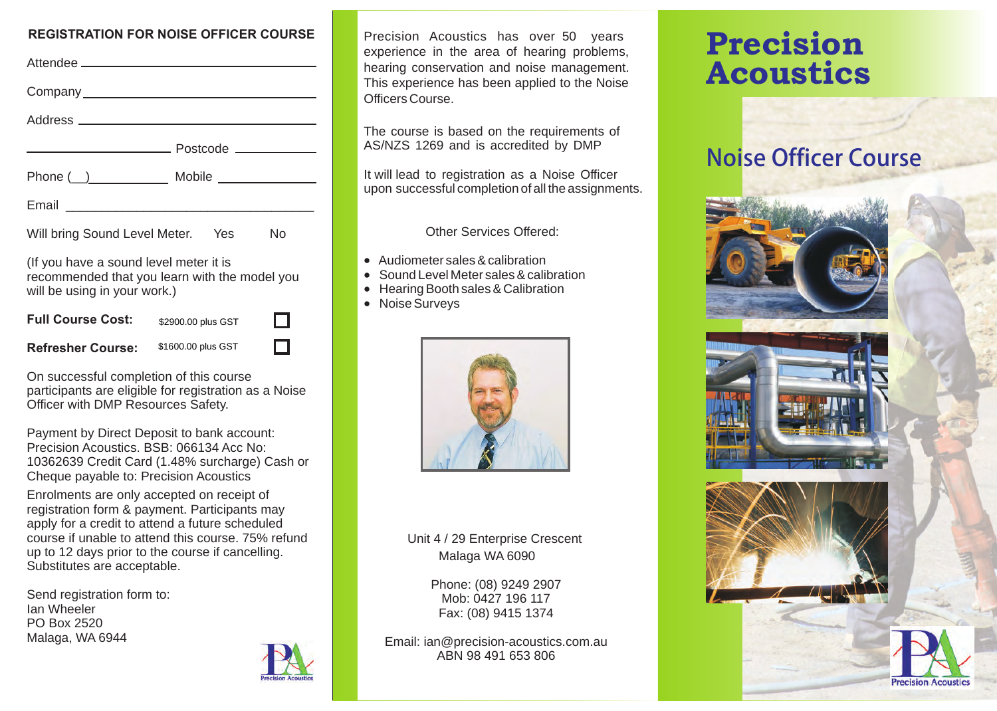#### **REGISTRATION FOR NOISE OFFICER COURSE**

| Attendee <u>______________________________</u>                                                                          |                    |    |
|-------------------------------------------------------------------------------------------------------------------------|--------------------|----|
|                                                                                                                         |                    |    |
|                                                                                                                         |                    |    |
|                                                                                                                         |                    |    |
|                                                                                                                         |                    |    |
|                                                                                                                         |                    |    |
| Will bring Sound Level Meter. Yes                                                                                       |                    | No |
| (If you have a sound level meter it is<br>recommended that you learn with the model you<br>will be using in your work.) |                    |    |
| <b>Full Course Cost:</b>                                                                                                | \$2900.00 plus GST |    |
| <b>Refresher Course:</b>                                                                                                | \$1600.00 plus GST |    |

On successful completion of this course participants are eligible for registration as a Noise Officer with DMP Resources Safety.

Payment by Direct Deposit to bank account: Precision Acoustics. BSB: 066134 Acc No: 10362639 Credit Card (1.48% surcharge) Cash or Cheque payable to: Precision Acoustics

Enrolments are only accepted on receipt of registration form & payment. Participants may apply for a credit to attend a future scheduled course if unable to attend this course. 75% refund up to 12 days prior to the course if cancelling. Substitutes are acceptable.

Send registration form to: Ian Wheeler PO Box 2520 Malaga, WA 6944



experience in the area of hearing problems, hearing conservation and noise management. This experience has been applied to the Noise Officers Course. Precision Acoustics has over 50 years

The course is based on the requirements of AS/NZS 1269 and is accredited by DMP

upon successful completion of all the assignments. It will lead to registration as a Noise Officer

Other Services Offered:

- Audiometer sales & calibration<br>• Sound Level Meter sales & calibration
- 
- · Sound Level Meter sales & calibration · Hearing Booth sales & Calibration
- Noise Surveys



Unit 4 / 29 Enterprise Crescent Malaga WA 6090

> Mob: 0427 196 117 Fax: (08) 9415 1374 Phone: (08) 9249 2907

Email: ian@precision-acoustics.com.au ABN 98 491 653 806

# Precision Acoustics

## Noise Officer Course